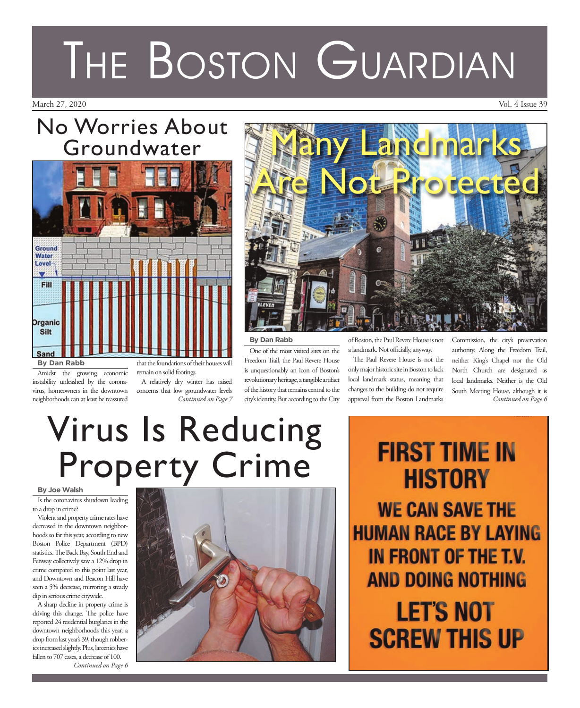## No Worries About Groundwater



Amidst the growing economic instability unleashed by the coronavirus, homeowners in the downtown neighborhoods can at least be reassured that the foundations of their houses will remain on solid footings.

A relatively dry winter has raised concerns that low groundwater levels *Continued on Page 7*